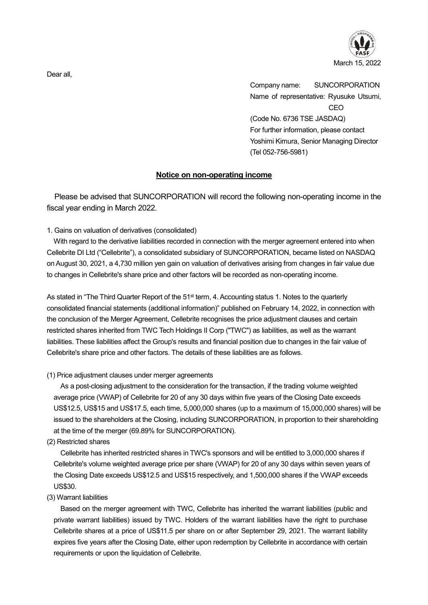

Company name: SUNCORPORATION Name of representative: Ryusuke Utsumi, CEO (Code No. 6736 TSE JASDAQ) For further information, please contact Yoshimi Kimura, Senior Managing Director (Tel 052-756-5981)

## **Notice on non-operating income**

Please be advised that SUNCORPORATION will record the following non-operating income in the fiscal year ending in March 2022.

1. Gains on valuation of derivatives (consolidated)

With regard to the derivative liabilities recorded in connection with the merger agreement entered into when Cellebrite DI Ltd ("Cellebrite"), a consolidated subsidiary of SUNCORPORATION, became listed on NASDAQ on August 30, 2021, a 4,730 million yen gain on valuation of derivatives arising from changes in fair value due to changes in Cellebrite's share price and other factors will be recorded as non-operating income.

As stated in "The Third Quarter Report of the 51<sup>st</sup> term, 4. Accounting status 1. Notes to the quarterly consolidated financial statements (additional information)" published on February 14, 2022, in connection with the conclusion of the Merger Agreement, Cellebrite recognises the price adjustment clauses and certain restricted shares inherited from TWC Tech Holdings II Corp ("TWC") as liabilities, as well as the warrant liabilities. These liabilities affect the Group's results and financial position due to changes in the fair value of Cellebrite's share price and other factors. The details of these liabilities are as follows.

## (1) Price adjustment clauses under merger agreements

As a post-closing adjustment to the consideration for the transaction, if the trading volume weighted average price (VWAP) of Cellebrite for 20 of any 30 days within five years of the Closing Date exceeds US\$12.5, US\$15 and US\$17.5, each time, 5,000,000 shares (up to a maximum of 15,000,000 shares) will be issued to the shareholders at the Closing, including SUNCORPORATION, in proportion to their shareholding at the time of the merger (69.89% for SUNCORPORATION).

## (2) Restricted shares

Cellebrite has inherited restricted shares in TWC's sponsors and will be entitled to 3,000,000 shares if Cellebrite's volume weighted average price per share (VWAP) for 20 of any 30 days within seven years of the Closing Date exceeds US\$12.5 and US\$15 respectively, and 1,500,000 shares if the VWAP exceeds US\$30.

(3) Warrant liabilities

Based on the merger agreement with TWC, Cellebrite has inherited the warrant liabilities (public and private warrant liabilities) issued by TWC. Holders of the warrant liabilities have the right to purchase Cellebrite shares at a price of US\$11.5 per share on or after September 29, 2021. The warrant liability expires five years after the Closing Date, either upon redemption by Cellebrite in accordance with certain requirements or upon the liquidation of Cellebrite.

Dear all,